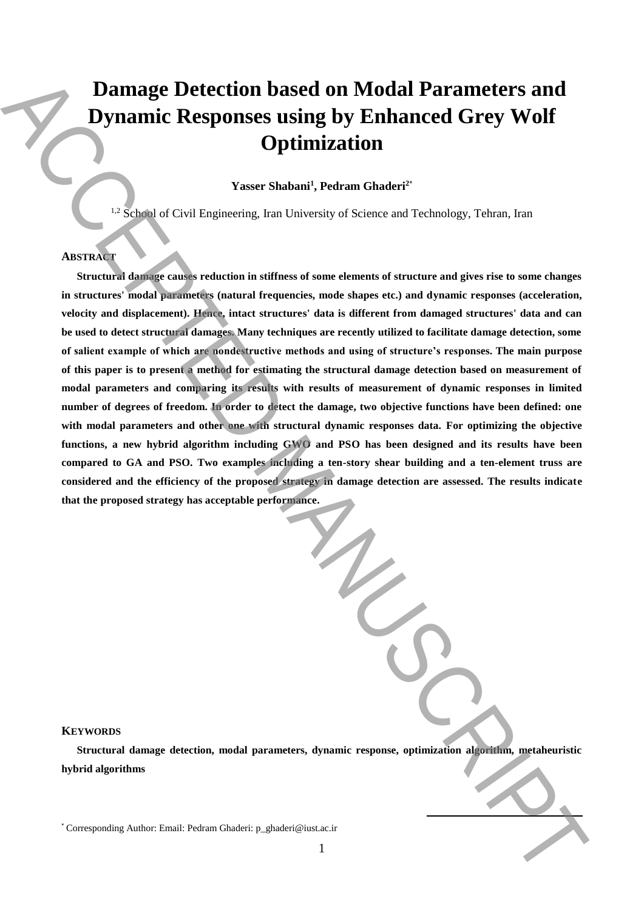# **Damage Detection based on Modal Parameters and Dynamic Responses using by Enhanced Grey Wolf Optimization**

**Yasser Shabani<sup>1</sup> , Pedram Ghaderi<sup>2</sup>**\*

<sup>1,2</sup> School of Civil Engineering, Iran University of Science and Technology, Tehran, Iran

# **ABSTRACT**

**Structural damage causes reduction in stiffness of some elements of structure and gives rise to some changes in structures' modal parameters (natural frequencies, mode shapes etc.) and dynamic responses (acceleration, velocity and displacement). Hence, intact structures' data is different from damaged structures' data and can be used to detect structural damages. Many techniques are recently utilized to facilitate damage detection, some of salient example of which are nondestructive methods and using of structure's responses. The main purpose of this paper is to present a method for estimating the structural damage detection based on measurement of modal parameters and comparing its results with results of measurement of dynamic responses in limited number of degrees of freedom. In order to detect the damage, two objective functions have been defined: one with modal parameters and other one with structural dynamic responses data. For optimizing the objective functions, a new hybrid algorithm including GWO and PSO has been designed and its results have been compared to GA and PSO. Two examples including a ten-story shear building and a ten-element truss are considered and the efficiency of the proposed strategy in damage detection are assessed. The results indicate that the proposed strategy has acceptable performance.** Damage Detection based on Modal Parameters and<br>
Dynamic Responses using by Enhanced Grey Wolf<br>
Optimization<br>
Corresponding Author: Share and Protocony of Some and Following Chatter and<br>
Share and The Corresponding Authori

#### **KEYWORDS**

**Structural damage detection, modal parameters, dynamic response, optimization algorithm, metaheuristic hybrid algorithms**

**.**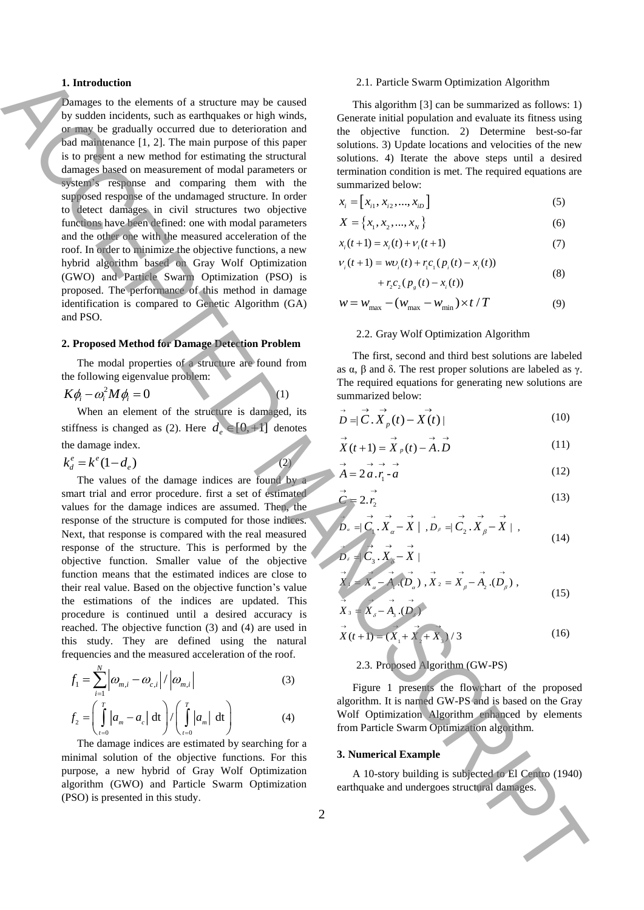## **1. Introduction**

Damages to the elements of a structure may be caused by sudden incidents, such as earthquakes or high winds, or may be gradually occurred due to deterioration and bad maintenance [1, 2]. The main purpose of this paper is to present a new method for estimating the structural damages based on measurement of modal parameters or system's response and comparing them with the supposed response of the undamaged structure. In order to detect damages in civil structures two objective functions have been defined: one with modal parameters and the other one with the measured acceleration of the roof. In order to minimize the objective functions, a new hybrid algorithm based on Gray Wolf Optimization (GWO) and Particle Swarm Optimization (PSO) is proposed. The performance of this method in damage identification is compared to Genetic Algorithm (GA) and PSO. Fundamentos of a theoretical control in the control interaction of the control interaction of a matter expected by the control interaction of the control interaction of the control interaction of the control interaction o

## **2. Proposed Method for Damage Detection Problem**

The modal properties of a structure are found from the following eigenvalue problem:

$$
K\phi_i - \omega_i^2 M\phi_i = 0
$$
 (1)

When an element of the structure is damaged, its stiffness is changed as (2). Here  $d_e \in [0, +1]$  denotes

the damage index.

$$
k_d^e = k^e (1 - d_e)
$$

The values of the damage indices are found by a smart trial and error procedure. first a set of estimated values for the damage indices are assumed. Then, the response of the structure is computed for those indices. Next, that response is compared with the real measured response of the structure. This is performed by the objective function. Smaller value of the objective function means that the estimated indices are close to their real value. Based on the objective function's value the estimations of the indices are updated. This procedure is continued until a desired accuracy is reached. The objective function (3) and (4) are used in this study. They are defined using the natural frequencies and the measured acceleration of the roof.

$$
f_1 = \sum_{i=1}^{N} \left| \omega_{m,i} - \omega_{c,i} \right| / \left| \omega_{m,i} \right|
$$
 (3)  

$$
f_2 = \left( \int_{t=0}^{T} \left| a_m - a_c \right| dt \right) / \left( \int_{t=0}^{T} \left| a_m \right| dt \right)
$$
 (4)

The damage indices are estimated by searching for a minimal solution of the objective functions. For this purpose, a new hybrid of Gray Wolf Optimization algorithm (GWO) and Particle Swarm Optimization (PSO) is presented in this study.

#### 2.1. Particle Swarm Optimization Algorithm

This algorithm [3] can be summarized as follows: 1) Generate initial population and evaluate its fitness using the objective function. 2) Determine best-so-far solutions. 3) Update locations and velocities of the new solutions. 4) Iterate the above steps until a desired termination condition is met. The required equations are summarized below:

$$
x_i = [x_{i1}, x_{i2}, ..., x_{iD}] \tag{5}
$$

$$
X = \{x_1, x_2, ..., x_N\}
$$
 (6)

$$
x_i(t+1) = x_i(t) + v_i(t+1)
$$
\n(7)

$$
V_i(t+1) = w v_i(t) + r_i c_i (p_i(t) - x_i(t))
$$
\n(8)

$$
+ r2c2(pg(t) - xi(t))
$$

$$
w = w_{\text{max}} - (w_{\text{max}} - w_{\text{min}}) \times t / T \tag{9}
$$

### 2.2. Gray Wolf Optimization Algorithm

The first, second and third best solutions are labeled as  $\alpha$ ,  $\beta$  and  $\delta$ . The rest proper solutions are labeled as γ. The required equations for generating new solutions are summarized below:

$$
\vec{D} = |\vec{C} \cdot \vec{X}_p(t) - \vec{X(t)}|
$$
\n(10)

$$
\overrightarrow{X}(t+1) = \overrightarrow{X}_p(t) - \overrightarrow{A} \cdot \overrightarrow{D}
$$
 (11)

$$
\vec{A} = 2\vec{a} \cdot \vec{r}_1 - \vec{a} \tag{12}
$$

$$
\vec{C} = 2.\vec{r}_2 \tag{13}
$$

$$
D_{\alpha} = | \overrightarrow{C} \cdot \overrightarrow{X}_{\alpha} - \overrightarrow{X} | , D_{\beta} = | \overrightarrow{C}_{2} \cdot \overrightarrow{X}_{\beta} - \overrightarrow{X} | ,
$$
\n(14)

$$
D_s = |C_3 \cdot X_3 - X|
$$
  
\n
$$
X_1 = X_a - A_1 \cdot (D_a), \quad X_2 = X_p - A_2 \cdot (D_p),
$$
 (15)

$$
X_3 = X_{\delta} - A_3 \cdot (D_{\delta})
$$

$$
X(t+1) = (X_1 + X_2 + X_3) / 3
$$
 (16)

2.3. Proposed Algorithm (GW-PS)

Figure 1 presents the flowchart of the proposed algorithm. It is named GW-PS and is based on the Gray Wolf Optimization Algorithm enhanced by elements from Particle Swarm Optimization algorithm.

#### **3. Numerical Example**

A 10-story building is subjected to El Centro (1940)

*D*

→

δ

(2)